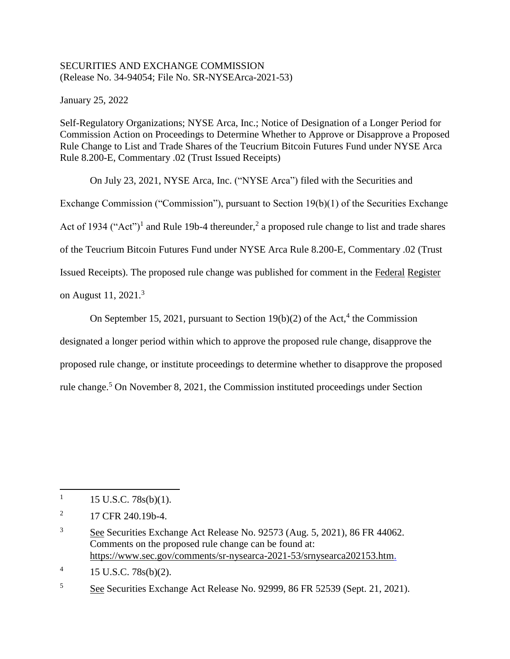## SECURITIES AND EXCHANGE COMMISSION (Release No. 34-94054; File No. SR-NYSEArca-2021-53)

January 25, 2022

Self-Regulatory Organizations; NYSE Arca, Inc.; Notice of Designation of a Longer Period for Commission Action on Proceedings to Determine Whether to Approve or Disapprove a Proposed Rule Change to List and Trade Shares of the Teucrium Bitcoin Futures Fund under NYSE Arca Rule 8.200-E, Commentary .02 (Trust Issued Receipts)

On July 23, 2021, NYSE Arca, Inc. ("NYSE Arca") filed with the Securities and Exchange Commission ("Commission"), pursuant to Section 19(b)(1) of the Securities Exchange Act of 1934 ("Act")<sup>1</sup> and Rule 19b-4 thereunder,<sup>2</sup> a proposed rule change to list and trade shares of the Teucrium Bitcoin Futures Fund under NYSE Arca Rule 8.200-E, Commentary .02 (Trust Issued Receipts). The proposed rule change was published for comment in the Federal Register on August 11, 2021. 3

On September 15, 2021, pursuant to Section  $19(b)(2)$  of the Act,<sup>4</sup> the Commission

designated a longer period within which to approve the proposed rule change, disapprove the

proposed rule change, or institute proceedings to determine whether to disapprove the proposed

rule change.<sup>5</sup> On November 8, 2021, the Commission instituted proceedings under Section

 $\overline{a}$ 

4 15 U.S.C. 78s(b)(2).

<sup>5</sup> See Securities Exchange Act Release No. 92999, 86 FR 52539 (Sept. 21, 2021).

<sup>1</sup> 15 U.S.C. 78s(b)(1).

<sup>2</sup> 17 CFR 240.19b-4.

<sup>&</sup>lt;sup>3</sup> See Securities Exchange Act Release No. 92573 (Aug. 5, 2021), 86 FR 44062. Comments on the proposed rule change can be found at: https://www.sec.gov/comments/sr-nysearca-2021-53/srnysearca202153.htm.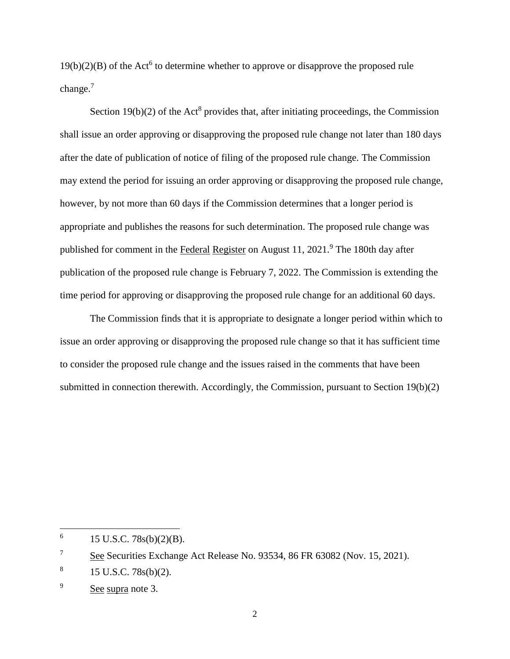$19(b)(2)(B)$  of the Act<sup>6</sup> to determine whether to approve or disapprove the proposed rule change.<sup>7</sup>

Section  $19(b)(2)$  of the Act<sup>8</sup> provides that, after initiating proceedings, the Commission shall issue an order approving or disapproving the proposed rule change not later than 180 days after the date of publication of notice of filing of the proposed rule change. The Commission may extend the period for issuing an order approving or disapproving the proposed rule change, however, by not more than 60 days if the Commission determines that a longer period is appropriate and publishes the reasons for such determination. The proposed rule change was published for comment in the Federal Register on August 11, 2021.<sup>9</sup> The 180th day after publication of the proposed rule change is February 7, 2022. The Commission is extending the time period for approving or disapproving the proposed rule change for an additional 60 days.

The Commission finds that it is appropriate to designate a longer period within which to issue an order approving or disapproving the proposed rule change so that it has sufficient time to consider the proposed rule change and the issues raised in the comments that have been submitted in connection therewith. Accordingly, the Commission, pursuant to Section 19(b)(2)

l

<sup>6</sup> 15 U.S.C. 78s(b)(2)(B).

<sup>&</sup>lt;sup>7</sup> See Securities Exchange Act Release No. 93534, 86 FR 63082 (Nov. 15, 2021).

<sup>8</sup> 15 U.S.C. 78s(b)(2).

<sup>&</sup>lt;sup>9</sup> See supra note 3.